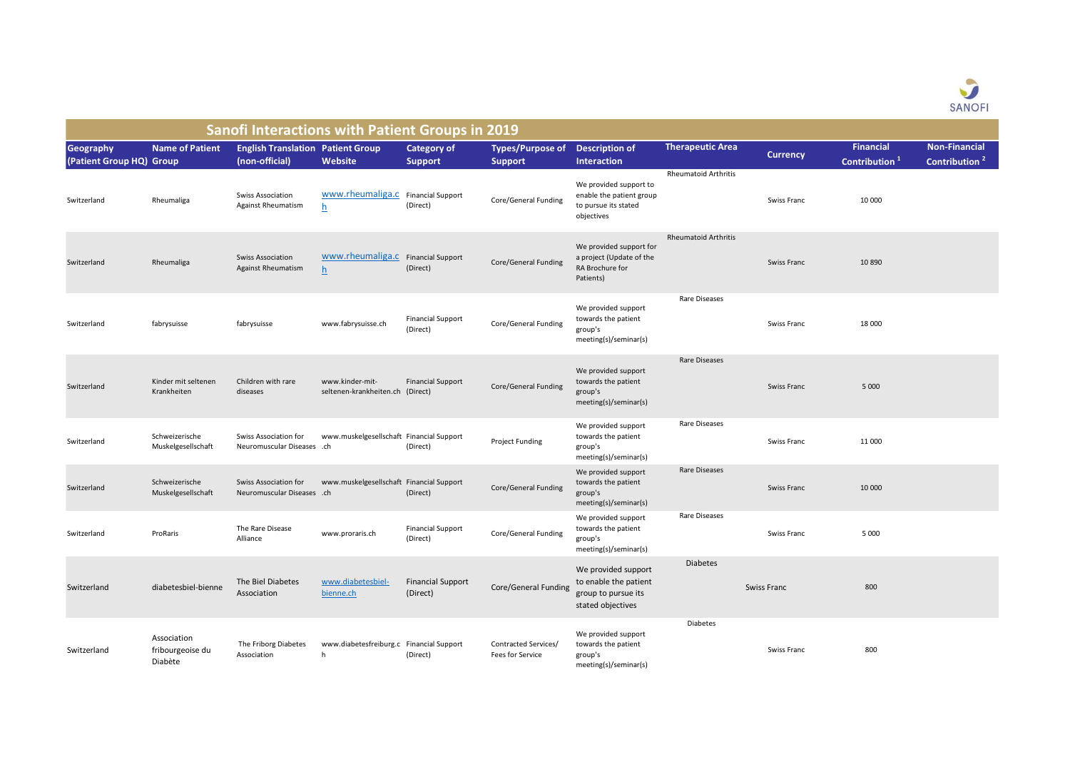

| <b>Sanofi Interactions with Patient Groups in 2019</b> |                                            |                                                            |                                                    |                                      |                                           |                                                                                          |                             |                 |                                               |                                                   |  |
|--------------------------------------------------------|--------------------------------------------|------------------------------------------------------------|----------------------------------------------------|--------------------------------------|-------------------------------------------|------------------------------------------------------------------------------------------|-----------------------------|-----------------|-----------------------------------------------|---------------------------------------------------|--|
| <b>Geography</b><br>(Patient Group HQ) Group           | <b>Name of Patient</b>                     | <b>English Translation Patient Group</b><br>(non-official) | Website                                            | <b>Category of</b><br><b>Support</b> | <b>Types/Purpose of</b><br><b>Support</b> | <b>Description of</b><br><b>Interaction</b>                                              | <b>Therapeutic Area</b>     | <b>Currency</b> | <b>Financial</b><br>Contribution <sup>1</sup> | <b>Non-Financial</b><br>Contribution <sup>2</sup> |  |
| Switzerland                                            | Rheumaliga                                 | <b>Swiss Association</b><br>Against Rheumatism             | www.rheumaliga.c Financial Support<br>$\mathsf{h}$ | (Direct)                             | Core/General Funding                      | We provided support to<br>enable the patient group<br>to pursue its stated<br>objectives | <b>Rheumatoid Arthritis</b> | Swiss Franc     | 10 000                                        |                                                   |  |
| Switzerland                                            | Rheumaliga                                 | <b>Swiss Association</b><br><b>Against Rheumatism</b>      | www.rheumaliga.c Financial Support<br>h            | (Direct)                             | Core/General Funding                      | We provided support for<br>a project (Update of the<br>RA Brochure for<br>Patients)      | <b>Rheumatoid Arthritis</b> | Swiss Franc     | 10890                                         |                                                   |  |
| Switzerland                                            | fabrysuisse                                | fabrysuisse                                                | www.fabrysuisse.ch                                 | <b>Financial Support</b><br>(Direct) | Core/General Funding                      | We provided support<br>towards the patient<br>group's<br>meeting(s)/seminar(s)           | Rare Diseases               | Swiss Franc     | 18 000                                        |                                                   |  |
| Switzerland                                            | Kinder mit seltenen<br>Krankheiten         | Children with rare<br>diseases                             | www.kinder-mit-<br>seltenen-krankheiten.ch         | <b>Financial Support</b><br>(Direct) | Core/General Funding                      | We provided support<br>towards the patient<br>group's<br>meeting(s)/seminar(s)           | Rare Diseases               | Swiss Franc     | 5 0 0 0                                       |                                                   |  |
| Switzerland                                            | Schweizerische<br>Muskelgesellschaft       | Swiss Association for<br>Neuromuscular Diseases .ch        | www.muskelgesellschaft Financial Support           | (Direct)                             | Project Funding                           | We provided support<br>towards the patient<br>group's<br>meeting(s)/seminar(s)           | Rare Diseases               | Swiss Franc     | 11 000                                        |                                                   |  |
| Switzerland                                            | Schweizerische<br>Muskelgesellschaft       | Swiss Association for<br>Neuromuscular Diseases .ch        | www.muskelgesellschaft Financial Support           | (Direct)                             | Core/General Funding                      | We provided support<br>towards the patient<br>group's<br>meeting(s)/seminar(s)           | Rare Diseases               | Swiss Franc     | 10 000                                        |                                                   |  |
| Switzerland                                            | ProRaris                                   | The Rare Disease<br>Alliance                               | www.proraris.ch                                    | <b>Financial Support</b><br>(Direct) | Core/General Funding                      | We provided support<br>towards the patient<br>group's<br>meeting(s)/seminar(s)           | Rare Diseases               | Swiss Franc     | 5 0 0 0                                       |                                                   |  |
| Switzerland                                            | diabetesbiel-bienne                        | The Biel Diabetes<br>Association                           | www.diabetesbiel-<br>bienne.ch                     | <b>Financial Support</b><br>(Direct) | Core/General Funding                      | We provided support<br>to enable the patient<br>group to pursue its<br>stated objectives | <b>Diabetes</b>             | Swiss Franc     | 800                                           |                                                   |  |
| Switzerland                                            | Association<br>fribourgeoise du<br>Diabète | The Friborg Diabetes<br>Association                        | www.diabetesfreiburg.c Financial Support<br>h      | (Direct)                             | Contracted Services/<br>Fees for Service  | We provided support<br>towards the patient<br>group's<br>meeting(s)/seminar(s)           | <b>Diabetes</b>             | Swiss Franc     | 800                                           |                                                   |  |